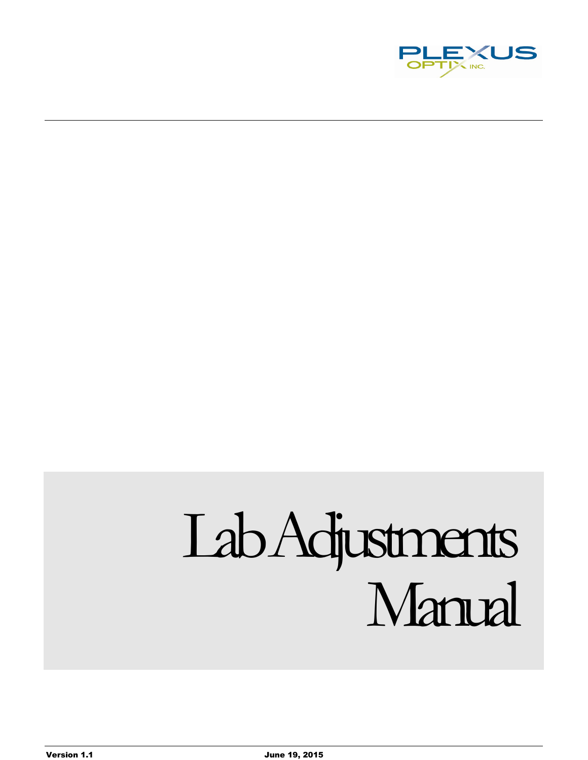

# Lab Adjustments Manual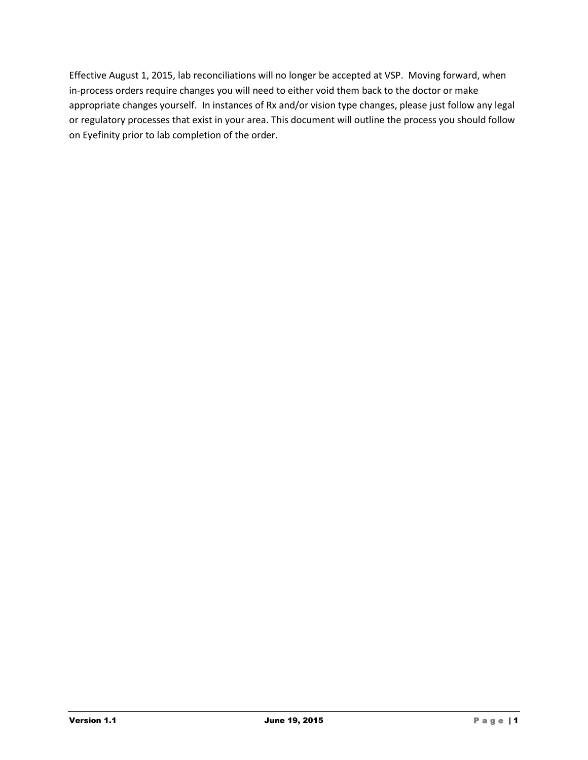Effective August 1, 2015, lab reconciliations will no longer be accepted at VSP. Moving forward, when in-process orders require changes you will need to either void them back to the doctor or make appropriate changes yourself. In instances of Rx and/or vision type changes, please just follow any legal or regulatory processes that exist in your area. This document will outline the process you should follow on Eyefinity prior to lab completion of the order.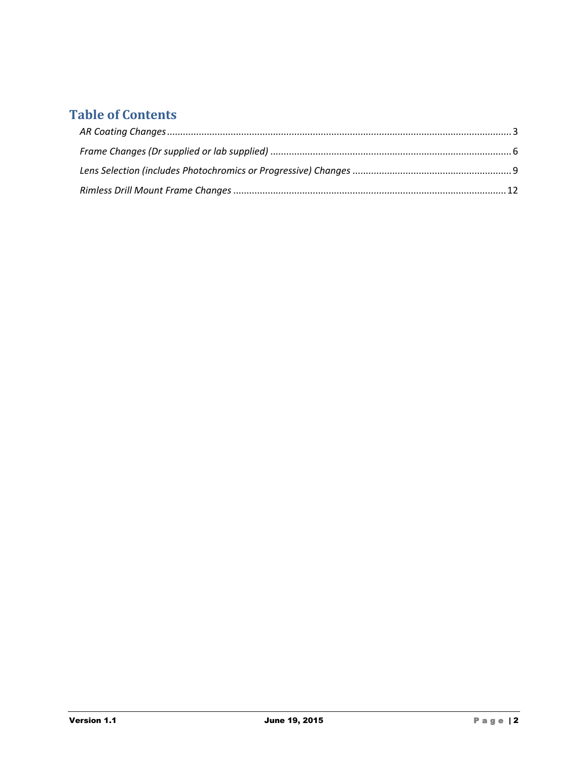# **Table of Contents**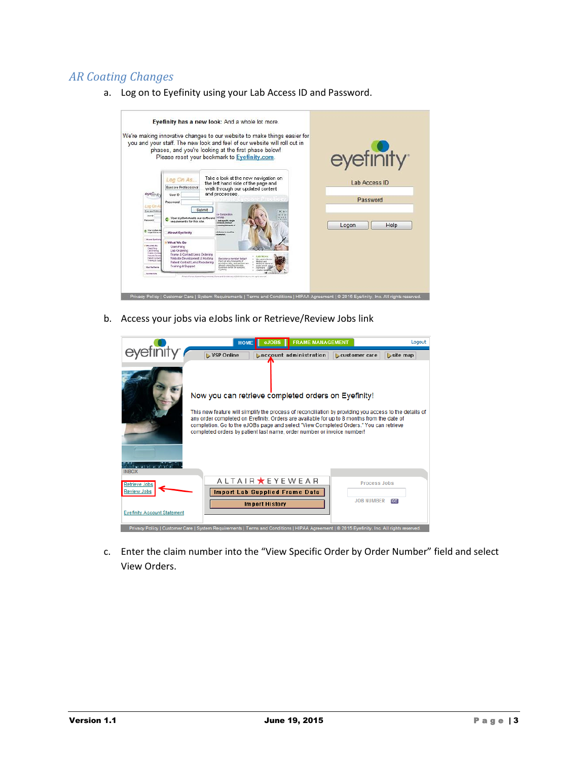# <span id="page-3-0"></span>*AR Coating Changes*



a. Log on to Eyefinity using your Lab Access ID and Password.

b. Access your jobs via eJobs link or Retrieve/Review Jobs link

|                                            | <b>HOME</b> | $e$ JOBS $\parallel$                                                                                                                                                                                                                                                                                                                                                                                                           | <b>FRAME MANAGEMENT</b> | Logout     |
|--------------------------------------------|-------------|--------------------------------------------------------------------------------------------------------------------------------------------------------------------------------------------------------------------------------------------------------------------------------------------------------------------------------------------------------------------------------------------------------------------------------|-------------------------|------------|
|                                            | VSP Online  | <b>Laccount administration</b>                                                                                                                                                                                                                                                                                                                                                                                                 | <b>L</b> customer care  | $site$ map |
|                                            |             | Now you can retrieve completed orders on Eyefinity!<br>This new feature will simplify the process of reconciliation by providing you access to the details of<br>any order completed on Eyefinity. Orders are available for up to 8 months from the date of<br>completion. Go to the eJOBs page and select "View Completed Orders." You can retrieve<br>completed orders by patient last name, order number or invoice number! |                         |            |
| <b>INBOX</b>                               |             | A L T A I R ★ E Y E W E A R                                                                                                                                                                                                                                                                                                                                                                                                    |                         |            |
| <b>Retrieve Jobs</b><br><b>Review Jobs</b> |             | <b>Import Lab Supplied Frame Data</b>                                                                                                                                                                                                                                                                                                                                                                                          | <b>Process Jobs</b>     |            |
| <b>Evefinity Account Statement</b>         |             | <b>Import History</b>                                                                                                                                                                                                                                                                                                                                                                                                          | <b>JOB NUMBER</b>       | ञ्च        |
|                                            |             | Privacy Policy   Customer Care   System Requirements   Terms and Conditions   HIPAA Agreement   @ 2015 Eyefinity, Inc. All rights reserved.                                                                                                                                                                                                                                                                                    |                         |            |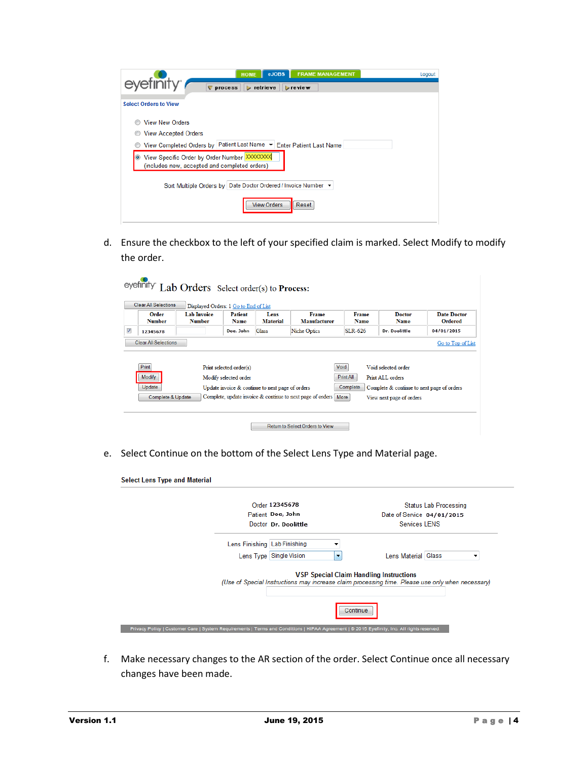| <b>FRAME MANAGEMENT</b><br>eJOBS<br><b>HOME</b><br>eyefinity <sup>®</sup>                                  | Logout |
|------------------------------------------------------------------------------------------------------------|--------|
| $\nabla$ process<br>$\triangleright$ retrieve<br>$\triangleright$ review                                   |        |
| <b>Select Orders to View</b>                                                                               |        |
| <b>View New Orders</b>                                                                                     |        |
| <b>View Accepted Orders</b>                                                                                |        |
| View Completed Orders by Patient Last Name $\blacktriangledown$ Enter Patient Last Name                    |        |
| View Specific Order by Order Number XXXXXXXX<br>$\bullet$<br>(includes new, accepted and completed orders) |        |
| Sort Multiple Orders by Date Doctor Ordered / Invoice Number ▼                                             |        |
| <b>View Orders</b><br>Reset                                                                                |        |

|                        |                                     | Displayed Orders: 1 Go to End of List            |                         |                              |                      |                                            |                               |
|------------------------|-------------------------------------|--------------------------------------------------|-------------------------|------------------------------|----------------------|--------------------------------------------|-------------------------------|
| Order<br><b>Number</b> | <b>Lab Invoice</b><br><b>Number</b> | Patient<br><b>Name</b>                           | Lens<br><b>Material</b> | Frame<br><b>Manufacturer</b> | <b>Frame</b><br>Name | <b>Doctor</b><br><b>Name</b>               | Date Doctor<br><b>Ordered</b> |
| 12345678               |                                     | Doe, John                                        | <b>Glass</b>            | Niche Optics                 | <b>SLR-626</b>       | Dr. Doolittle                              | 04/01/2015                    |
|                        | <b>Clear All Selections</b>         |                                                  |                         |                              |                      |                                            |                               |
| <b>Print</b>           |                                     | Print selected order(s)                          |                         |                              | Void                 | Void selected order                        |                               |
| <b>Modify</b>          |                                     | Modify selected order                            |                         |                              | Print All            | Print ALL orders                           |                               |
| Update                 |                                     | Update invoice & continue to next page of orders |                         |                              | Complete             | Complete & continue to next page of orders | Go to Top of List             |

e. Select Continue on the bottom of the Select Lens Type and Material page.

| <b>Select Lens Type and Material</b>                                                                                                        |                           |                                                                                                                                                    |                       |
|---------------------------------------------------------------------------------------------------------------------------------------------|---------------------------|----------------------------------------------------------------------------------------------------------------------------------------------------|-----------------------|
|                                                                                                                                             | Order 12345678            |                                                                                                                                                    | Status Lab Processing |
|                                                                                                                                             | Patient Doe, John         | Date of Service 04/01/2015                                                                                                                         |                       |
|                                                                                                                                             | Doctor Dr. Doolittle      | <b>Services LENS</b>                                                                                                                               |                       |
| Lens Finishing   Lab Finishing                                                                                                              |                           |                                                                                                                                                    |                       |
|                                                                                                                                             | Lens Type   Single Vision | Lens Material Glass<br>$\overline{\phantom{a}}$                                                                                                    |                       |
|                                                                                                                                             |                           | <b>VSP Special Claim Handling Instructions</b><br>(Use of Special Instructions may increase claim processing time. Please use only when necessary) |                       |
|                                                                                                                                             |                           | Continue                                                                                                                                           |                       |
| Privacy Policy   Customer Care   System Requirements   Terms and Conditions   HIPAA Agreement   @ 2015 Eyefinity, Inc. All rights reserved. |                           |                                                                                                                                                    |                       |

f. Make necessary changes to the AR section of the order. Select Continue once all necessary changes have been made.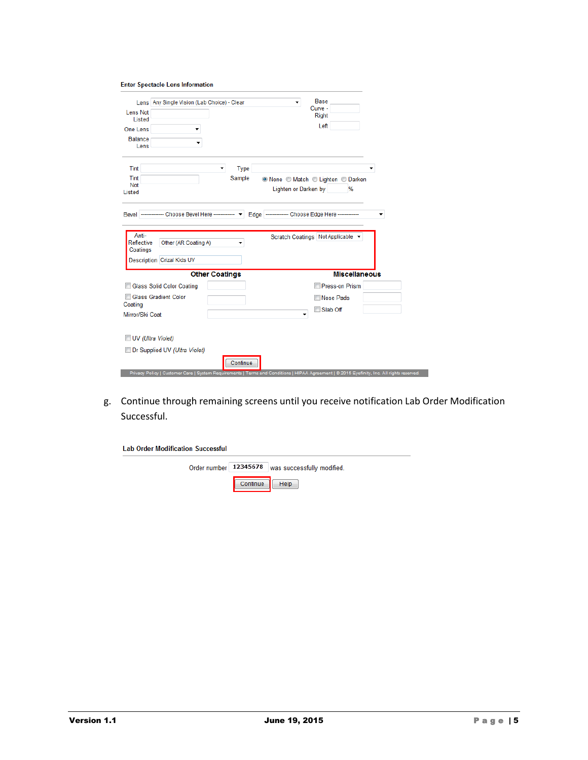| <b>Enter Spectacle Lens Information</b> |  |  |
|-----------------------------------------|--|--|

| Lens Not<br>Listed<br>One Lens<br><b>Balance</b><br>Lens | Lens Any Single Vision (Lab Choice) - Clear                                                                                                 |                     | ۰                    | <b>Base</b><br>Curve -<br><b>Right</b><br>Left       |                      |
|----------------------------------------------------------|---------------------------------------------------------------------------------------------------------------------------------------------|---------------------|----------------------|------------------------------------------------------|----------------------|
| Tint<br>Tint<br>Not<br>Listed                            |                                                                                                                                             | Type<br>▼<br>Sample | Lighten or Darken by | <sup>●</sup> None ● Match ● Lighten ● Darken<br>%    |                      |
| <b>Bevel</b>                                             | -------------- Choose Bevel Here ------------- v                                                                                            |                     |                      | Edge   -------------- Choose Edge Here ------------- |                      |
| Anti-<br>Reflective<br>Coatings                          | Other (AR Coating A)<br>Description Crizal Kids UV                                                                                          |                     |                      | Scratch Coatings Not Applicable v                    |                      |
|                                                          | <b>Other Coatings</b>                                                                                                                       |                     |                      |                                                      | <b>Miscellaneous</b> |
|                                                          | <b>Glass Solid Color Coating</b>                                                                                                            |                     |                      | <b>Press-on Prism</b>                                |                      |
| Coating                                                  | <b>Glass Gradient Color</b>                                                                                                                 |                     |                      | Nose Pads<br>Slab Off<br>m                           |                      |
| Mirror/Ski Coat                                          |                                                                                                                                             |                     | ▼                    |                                                      |                      |
|                                                          | UV (Ultra Violet)<br>Dr Supplied UV (Ultra Violet)                                                                                          |                     |                      |                                                      |                      |
|                                                          | Privacy Policy   Customer Care   System Requirements   Terms and Conditions   HIPAA Agreement   @ 2015 Eyefinity, Inc. All rights reserved. | Continue            |                      |                                                      |                      |

g. Continue through remaining screens until you receive notification Lab Order Modification Successful.

| <b>Lab Order Modification Successful</b> |          |                                                      |
|------------------------------------------|----------|------------------------------------------------------|
|                                          |          | Order number   12345678   was successfully modified. |
|                                          | Continue | Help                                                 |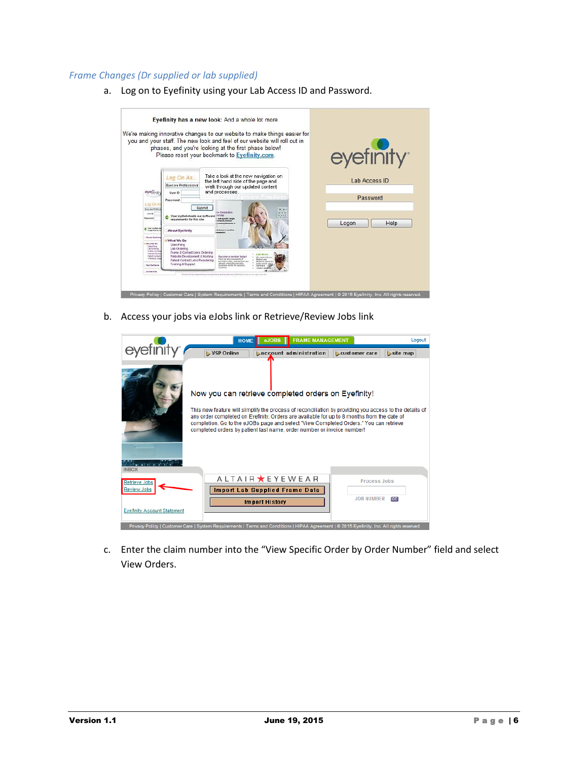#### <span id="page-6-0"></span>*Frame Changes (Dr supplied or lab supplied)*

a. Log on to Eyefinity using your Lab Access ID and Password.



b. Access your jobs via eJobs link or Retrieve/Review Jobs link

|                                                                                                                                             | <b>HOME</b>                                                                                                                                                                                                                                                                                                                                                                                                                    | $e$ JOBS $\parallel$                                    | <b>FRAME MANAGEMENT</b> |                        | Logout                    |
|---------------------------------------------------------------------------------------------------------------------------------------------|--------------------------------------------------------------------------------------------------------------------------------------------------------------------------------------------------------------------------------------------------------------------------------------------------------------------------------------------------------------------------------------------------------------------------------|---------------------------------------------------------|-------------------------|------------------------|---------------------------|
|                                                                                                                                             | VSP Online                                                                                                                                                                                                                                                                                                                                                                                                                     | <b>Laccount administration</b>                          |                         | <b>L</b> customer care | $\triangleright$ site map |
| <b>Contractor</b> at at                                                                                                                     | Now you can retrieve completed orders on Eyefinity!<br>This new feature will simplify the process of reconciliation by providing you access to the details of<br>any order completed on Eyefinity. Orders are available for up to 8 months from the date of<br>completion. Go to the eJOBs page and select "View Completed Orders." You can retrieve<br>completed orders by patient last name, order number or invoice number! |                                                         |                         |                        |                           |
| <b>INBOX</b>                                                                                                                                |                                                                                                                                                                                                                                                                                                                                                                                                                                |                                                         |                         |                        |                           |
| <b>Retrieve Jobs</b>                                                                                                                        |                                                                                                                                                                                                                                                                                                                                                                                                                                | A L T A I R ★ E Y E W E A R                             |                         | <b>Process Jobs</b>    |                           |
| <b>Review Jobs</b><br><b>Eyefinity Account Statement</b>                                                                                    |                                                                                                                                                                                                                                                                                                                                                                                                                                | <b>Import Lab Supplied Frame Data</b><br>Import History |                         | <b>JOB NUMBER</b>      | त्वन                      |
| Privacy Policy   Customer Care   System Requirements   Terms and Conditions   HIPAA Agreement   @ 2015 Eyefinity, Inc. All rights reserved. |                                                                                                                                                                                                                                                                                                                                                                                                                                |                                                         |                         |                        |                           |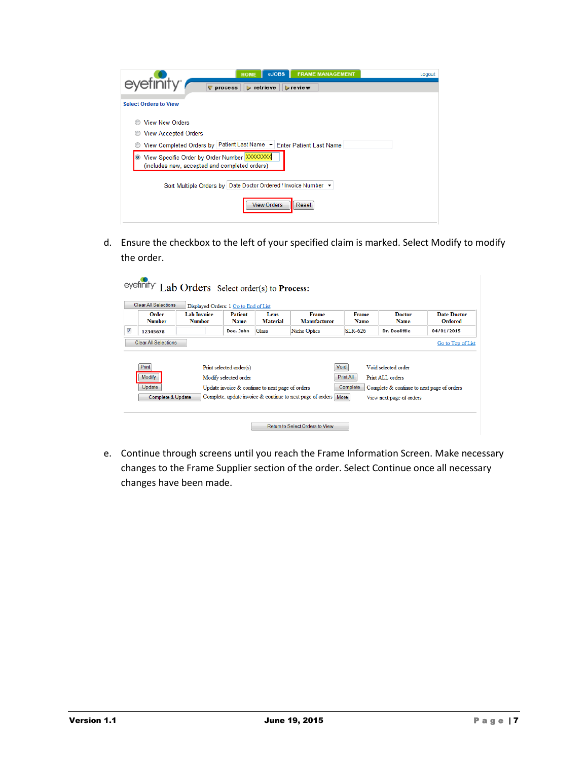| <b>FRAME MANAGEMENT</b><br>eJOBS<br><b>HOME</b><br>eyefinity <sup>®</sup>                                  | Logout |
|------------------------------------------------------------------------------------------------------------|--------|
| $\nabla$ process<br>$\triangleright$ retrieve<br>$\triangleright$ review                                   |        |
| <b>Select Orders to View</b>                                                                               |        |
| <b>View New Orders</b>                                                                                     |        |
| <b>View Accepted Orders</b>                                                                                |        |
| View Completed Orders by Patient Last Name $\blacktriangledown$ Enter Patient Last Name                    |        |
| View Specific Order by Order Number XXXXXXXX<br>$\bullet$<br>(includes new, accepted and completed orders) |        |
| Sort Multiple Orders by Date Doctor Ordered / Invoice Number ▼                                             |        |
| <b>View Orders</b><br>Reset                                                                                |        |

| Order           | <b>Lab Invoice</b> | Displayed Orders: 1 Go to End of List<br>Patient | Lens                                             | Frame               | <b>Frame</b>      | <b>Doctor</b>                              | Date Doctor       |
|-----------------|--------------------|--------------------------------------------------|--------------------------------------------------|---------------------|-------------------|--------------------------------------------|-------------------|
| <b>Number</b>   | <b>Number</b>      | <b>Name</b>                                      | <b>Material</b>                                  | Manufacturer        | <b>Name</b>       | <b>Name</b>                                | Ordered           |
| 12345678        |                    | Doe, John                                        | <b>Glass</b>                                     | <b>Niche Optics</b> | $SLR-626$         | Dr. Doolittle                              | 04/01/2015        |
|                 |                    |                                                  |                                                  |                     |                   |                                            |                   |
| Print<br>Modify |                    | Print selected order(s)                          |                                                  |                     | Void<br>Print All | Void selected order<br>Print ALL orders    |                   |
| Update          |                    | Modify selected order                            | Update invoice & continue to next page of orders |                     | Complete          | Complete & continue to next page of orders | Go to Top of List |

e. Continue through screens until you reach the Frame Information Screen. Make necessary changes to the Frame Supplier section of the order. Select Continue once all necessary changes have been made.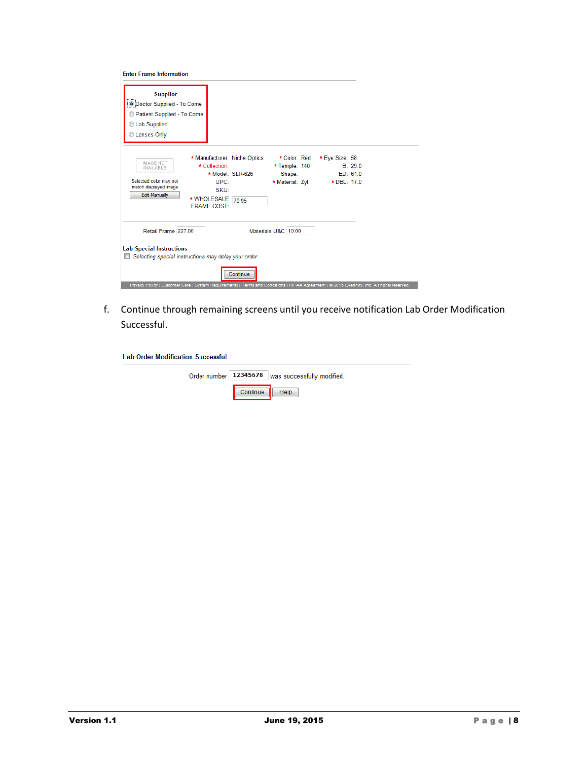| <b>Enter Frame Information</b>                                                                                         |                                                                                                                                                         |                                                            |                               |                     |
|------------------------------------------------------------------------------------------------------------------------|---------------------------------------------------------------------------------------------------------------------------------------------------------|------------------------------------------------------------|-------------------------------|---------------------|
| <b>Supplier</b><br><b>O Doctor Supplied - To Come</b><br>Patient Supplied - To Come<br>C Lab Supplied<br>C Lenses Only |                                                                                                                                                         |                                                            |                               |                     |
| IMAGE NOT<br><b>AVAILABLE</b><br>Selected color may not<br>match displayed image<br><b>Edit Manually</b>               | * Manufacturer: Niche Optics<br>* Collection:<br>* Model: SLR-626<br>UPC:<br>SKU:<br>* WHOLESALE 79.95<br><b>FRAME COST:</b>                            | * Color: Red<br>* Temple: 140<br>Shape:<br>* Material: Zvl | * Eye Size: 58<br>* DBL: 17.0 | B: 29.0<br>ED: 61.0 |
| Retail Frame 227.00                                                                                                    |                                                                                                                                                         | Materials U&C 10.00                                        |                               |                     |
| <b>Lab Special Instructions</b>                                                                                        | Selecting special instructions may delay your order.                                                                                                    |                                                            |                               |                     |
|                                                                                                                        | Continue<br>Privacy Policy   Customer Care   System Requirements   Terms and Conditions   HIPAA Agreement   @ 2015 Eyefinity, Inc. All rights reserved. |                                                            |                               |                     |

f. Continue through remaining screens until you receive notification Lab Order Modification Successful.

| <b>Lab Order Modification Successful</b> |          |                            |
|------------------------------------------|----------|----------------------------|
| Order number 12345678                    |          | was successfully modified. |
|                                          | Continue | Help                       |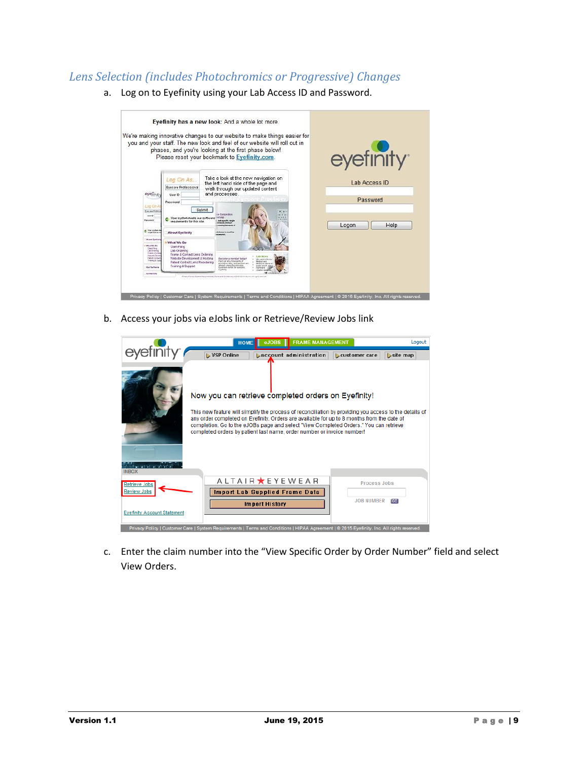# <span id="page-9-0"></span>*Lens Selection (includes Photochromics or Progressive) Changes*

- Eyefinity has a new look: And a whole lot more. We're making innovative changes to our website to make things easier for<br>you and your staff. The new look and feel of our website will roll out in<br>phases, and you're looking at the first phase below!<br>Please reset your book eyefinity Take a look at the new navigation on<br>the left hand side of the page and<br>walk through our updated content<br>and processes. Log On As., Lab Access ID Eyecare Professional eyen User  $\mathbb{D}$ Password brow Submit Your system meets our :<br>requirements for this site Logon  $\frac{1}{2}$  Help cy Policy | Cust
- a. Log on to Eyefinity using your Lab Access ID and Password.

b. Access your jobs via eJobs link or Retrieve/Review Jobs link

| <b>FRAME MANAGEMENT</b><br>$e$ JOBS $\parallel$<br><b>HOME</b><br>VSP Online<br><b>Laccount administration</b><br><b>L</b> customer care<br>Now you can retrieve completed orders on Eyefinity!<br>This new feature will simplify the process of reconciliation by providing you access to the details of<br>any order completed on Eyefinity. Orders are available for up to 8 months from the date of<br>completion. Go to the eJOBs page and select "View Completed Orders." You can retrieve<br>completed orders by patient last name, order number or invoice number!<br><b>INBOX</b><br>A L T A I R ★ E Y E W E A R<br><b>Process Jobs</b><br><b>Retrieve Jobs</b><br><b>Review Jobs</b><br><b>Import Lab Supplied Frame Data</b><br><b>JOB NUMBER</b><br>ञ्च<br><b>Import History</b><br><b>Evefinity Account Statement</b> | Logout                                                                                                                                      |  |  |
|------------------------------------------------------------------------------------------------------------------------------------------------------------------------------------------------------------------------------------------------------------------------------------------------------------------------------------------------------------------------------------------------------------------------------------------------------------------------------------------------------------------------------------------------------------------------------------------------------------------------------------------------------------------------------------------------------------------------------------------------------------------------------------------------------------------------------------|---------------------------------------------------------------------------------------------------------------------------------------------|--|--|
|                                                                                                                                                                                                                                                                                                                                                                                                                                                                                                                                                                                                                                                                                                                                                                                                                                    | $site$ map                                                                                                                                  |  |  |
|                                                                                                                                                                                                                                                                                                                                                                                                                                                                                                                                                                                                                                                                                                                                                                                                                                    |                                                                                                                                             |  |  |
|                                                                                                                                                                                                                                                                                                                                                                                                                                                                                                                                                                                                                                                                                                                                                                                                                                    |                                                                                                                                             |  |  |
|                                                                                                                                                                                                                                                                                                                                                                                                                                                                                                                                                                                                                                                                                                                                                                                                                                    |                                                                                                                                             |  |  |
|                                                                                                                                                                                                                                                                                                                                                                                                                                                                                                                                                                                                                                                                                                                                                                                                                                    |                                                                                                                                             |  |  |
|                                                                                                                                                                                                                                                                                                                                                                                                                                                                                                                                                                                                                                                                                                                                                                                                                                    | Privacy Policy   Customer Care   System Requirements   Terms and Conditions   HIPAA Agreement   @ 2015 Eyefinity, Inc. All rights reserved. |  |  |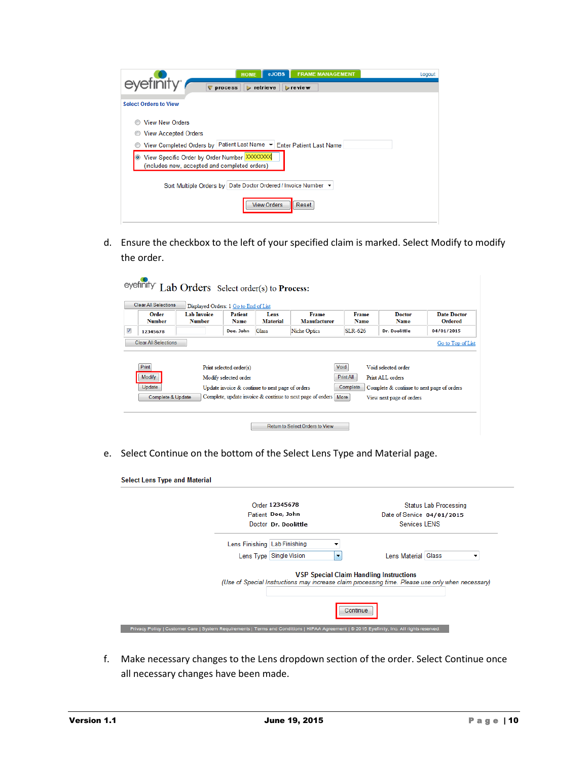| <b>FRAME MANAGEMENT</b><br>eJOBS<br><b>HOME</b>                                                            | Logout |
|------------------------------------------------------------------------------------------------------------|--------|
| eyefinity <sup>®</sup><br>$\nabla$ process<br>$\triangleright$ retrieve<br>$\triangleright$ review         |        |
| <b>Select Orders to View</b>                                                                               |        |
| <b>View New Orders</b>                                                                                     |        |
| <b>View Accepted Orders</b>                                                                                |        |
| View Completed Orders by Patient Last Name $\blacktriangledown$ Enter Patient Last Name                    |        |
| View Specific Order by Order Number XXXXXXXX<br>$\bullet$<br>(includes new, accepted and completed orders) |        |
| Sort Multiple Orders by Date Doctor Ordered / Invoice Number ▼                                             |        |
| <b>View Orders</b><br>Reset                                                                                |        |

|                        |                                     | Displayed Orders: 1 Go to End of List            |                         |                              |                      |                                            |                               |
|------------------------|-------------------------------------|--------------------------------------------------|-------------------------|------------------------------|----------------------|--------------------------------------------|-------------------------------|
| Order<br><b>Number</b> | <b>Lab Invoice</b><br><b>Number</b> | Patient<br><b>Name</b>                           | Lens<br><b>Material</b> | Frame<br><b>Manufacturer</b> | <b>Frame</b><br>Name | <b>Doctor</b><br><b>Name</b>               | Date Doctor<br><b>Ordered</b> |
| 12345678               |                                     | Doe, John                                        | <b>Glass</b>            | Niche Optics                 | <b>SLR-626</b>       | Dr. Doolittle                              | 04/01/2015                    |
|                        | <b>Clear All Selections</b>         |                                                  |                         |                              |                      |                                            |                               |
| <b>Print</b>           |                                     | Print selected order(s)                          |                         |                              | Void                 | Void selected order                        |                               |
| <b>Modify</b>          |                                     | Modify selected order                            |                         |                              | Print All            | Print ALL orders                           |                               |
| Update                 |                                     | Update invoice & continue to next page of orders |                         |                              | Complete             | Complete & continue to next page of orders | Go to Top of List             |

e. Select Continue on the bottom of the Select Lens Type and Material page.

| <b>Select Lens Type and Material</b>                                                                                                        |                           |                                                                                                                                                    |                              |
|---------------------------------------------------------------------------------------------------------------------------------------------|---------------------------|----------------------------------------------------------------------------------------------------------------------------------------------------|------------------------------|
|                                                                                                                                             | Order 12345678            |                                                                                                                                                    | <b>Status Lab Processing</b> |
|                                                                                                                                             | Patient Doe, John         | Date of Service 04/01/2015                                                                                                                         |                              |
|                                                                                                                                             | Doctor Dr. Doolittle      | <b>Services LENS</b>                                                                                                                               |                              |
| Lens Finishing Lab Finishing                                                                                                                |                           |                                                                                                                                                    |                              |
|                                                                                                                                             | Lens Type   Single Vision | Lens Material Glass<br>$\blacktriangledown$                                                                                                        |                              |
|                                                                                                                                             |                           | <b>VSP Special Claim Handling Instructions</b><br>(Use of Special Instructions may increase claim processing time. Please use only when necessary) |                              |
|                                                                                                                                             |                           | Continue                                                                                                                                           |                              |
| Privacy Policy   Customer Care   System Requirements   Terms and Conditions   HIPAA Agreement   @ 2015 Eyefinity, Inc. All rights reserved. |                           |                                                                                                                                                    |                              |

f. Make necessary changes to the Lens dropdown section of the order. Select Continue once all necessary changes have been made.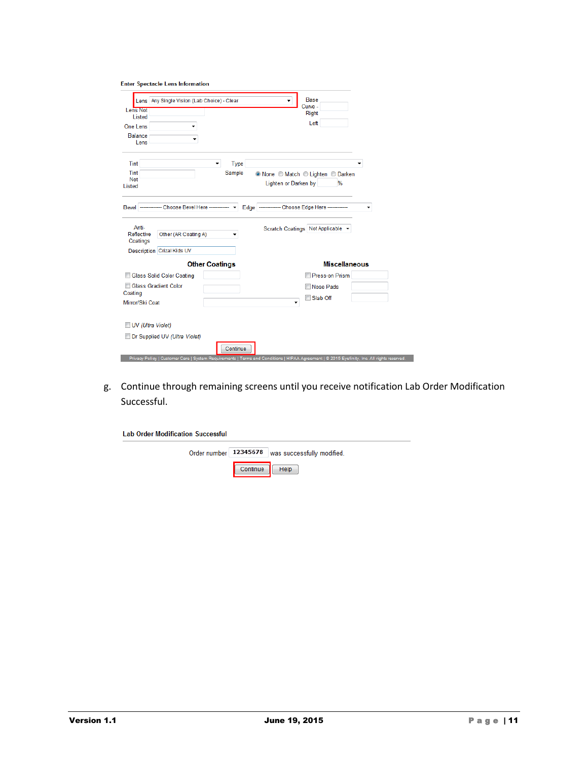|  | <b>Enter Spectacle Lens Information</b> |
|--|-----------------------------------------|
|  |                                         |

| <b>Base</b><br>Lens Any Single Vision (Lab Choice) - Clear<br>Curve -<br>Lens Not<br><b>Right</b><br>Listed<br>Left<br><b>One Lens</b><br><b>Balance</b><br>Lens<br>Tint<br>Type<br>۰<br>Sample<br>Tint<br>© None © Match © Lighten © Darken<br>Not<br>Lighten or Darken by<br>%<br>Listed<br>Edge ------------- Choose Edge Here ------------<br>---- Choose Bevel Here ------------ v<br>Bevel -<br>۰<br>Anti-<br>Scratch Coatings Not Applicable v<br>Reflective<br>Other (AR Coating A)<br>Coatings<br>Description Crizal Kids UV<br><b>Miscellaneous</b><br><b>Other Coatings</b><br>Press-on Prism<br><b>Glass Solid Color Coating</b><br>Glass Gradient Color<br>Nose Pads<br>Coating<br>Slab Off<br>Mirror/Ski Coat<br>٠<br>UV (Ultra Violet)<br>Dr Supplied UV (Ultra Violet)<br>Continue<br>Privacy Policy   Customer Care   System Requirements   Terms and Conditions   HIPAA Agreement   @ 2015 Eyefinity, Inc. All rights reserved |  |  |  |
|--------------------------------------------------------------------------------------------------------------------------------------------------------------------------------------------------------------------------------------------------------------------------------------------------------------------------------------------------------------------------------------------------------------------------------------------------------------------------------------------------------------------------------------------------------------------------------------------------------------------------------------------------------------------------------------------------------------------------------------------------------------------------------------------------------------------------------------------------------------------------------------------------------------------------------------------------|--|--|--|
|                                                                                                                                                                                                                                                                                                                                                                                                                                                                                                                                                                                                                                                                                                                                                                                                                                                                                                                                                  |  |  |  |
|                                                                                                                                                                                                                                                                                                                                                                                                                                                                                                                                                                                                                                                                                                                                                                                                                                                                                                                                                  |  |  |  |
|                                                                                                                                                                                                                                                                                                                                                                                                                                                                                                                                                                                                                                                                                                                                                                                                                                                                                                                                                  |  |  |  |
|                                                                                                                                                                                                                                                                                                                                                                                                                                                                                                                                                                                                                                                                                                                                                                                                                                                                                                                                                  |  |  |  |
|                                                                                                                                                                                                                                                                                                                                                                                                                                                                                                                                                                                                                                                                                                                                                                                                                                                                                                                                                  |  |  |  |
|                                                                                                                                                                                                                                                                                                                                                                                                                                                                                                                                                                                                                                                                                                                                                                                                                                                                                                                                                  |  |  |  |
|                                                                                                                                                                                                                                                                                                                                                                                                                                                                                                                                                                                                                                                                                                                                                                                                                                                                                                                                                  |  |  |  |
|                                                                                                                                                                                                                                                                                                                                                                                                                                                                                                                                                                                                                                                                                                                                                                                                                                                                                                                                                  |  |  |  |
|                                                                                                                                                                                                                                                                                                                                                                                                                                                                                                                                                                                                                                                                                                                                                                                                                                                                                                                                                  |  |  |  |
|                                                                                                                                                                                                                                                                                                                                                                                                                                                                                                                                                                                                                                                                                                                                                                                                                                                                                                                                                  |  |  |  |
|                                                                                                                                                                                                                                                                                                                                                                                                                                                                                                                                                                                                                                                                                                                                                                                                                                                                                                                                                  |  |  |  |
|                                                                                                                                                                                                                                                                                                                                                                                                                                                                                                                                                                                                                                                                                                                                                                                                                                                                                                                                                  |  |  |  |
|                                                                                                                                                                                                                                                                                                                                                                                                                                                                                                                                                                                                                                                                                                                                                                                                                                                                                                                                                  |  |  |  |
|                                                                                                                                                                                                                                                                                                                                                                                                                                                                                                                                                                                                                                                                                                                                                                                                                                                                                                                                                  |  |  |  |
|                                                                                                                                                                                                                                                                                                                                                                                                                                                                                                                                                                                                                                                                                                                                                                                                                                                                                                                                                  |  |  |  |
|                                                                                                                                                                                                                                                                                                                                                                                                                                                                                                                                                                                                                                                                                                                                                                                                                                                                                                                                                  |  |  |  |
|                                                                                                                                                                                                                                                                                                                                                                                                                                                                                                                                                                                                                                                                                                                                                                                                                                                                                                                                                  |  |  |  |
|                                                                                                                                                                                                                                                                                                                                                                                                                                                                                                                                                                                                                                                                                                                                                                                                                                                                                                                                                  |  |  |  |
|                                                                                                                                                                                                                                                                                                                                                                                                                                                                                                                                                                                                                                                                                                                                                                                                                                                                                                                                                  |  |  |  |
|                                                                                                                                                                                                                                                                                                                                                                                                                                                                                                                                                                                                                                                                                                                                                                                                                                                                                                                                                  |  |  |  |
|                                                                                                                                                                                                                                                                                                                                                                                                                                                                                                                                                                                                                                                                                                                                                                                                                                                                                                                                                  |  |  |  |

g. Continue through remaining screens until you receive notification Lab Order Modification Successful.

| <b>Lab Order Modification Successful</b> |          |                                                      |  |
|------------------------------------------|----------|------------------------------------------------------|--|
|                                          |          | Order number   12345678   was successfully modified. |  |
|                                          | Continue | <b>Help</b>                                          |  |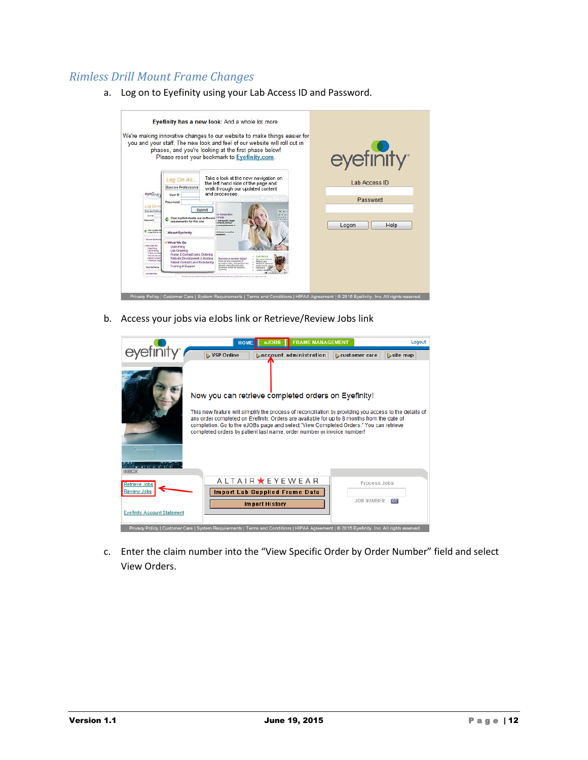# <span id="page-12-0"></span>*Rimless Drill Mount Frame Changes*

a. Log on to Eyefinity using your Lab Access ID and Password.



b. Access your jobs via eJobs link or Retrieve/Review Jobs link

| <b>FRAME MANAGEMENT</b><br>$e$ JOBS $\parallel$<br><b>HOME</b><br>VSP Online<br><b>Daccount administration</b><br><b>L</b> customer care<br>Now you can retrieve completed orders on Eyefinity!<br>This new feature will simplify the process of reconciliation by providing you access to the details of<br>any order completed on Eyefinity. Orders are available for up to 8 months from the date of<br>completion. Go to the eJOBs page and select "View Completed Orders." You can retrieve<br>completed orders by patient last name, order number or invoice number!<br><b>INBOX</b><br>A L T A I R ★ E Y E W E A R<br><b>Process Jobs</b><br><b>Retrieve Jobs</b><br><b>Review Jobs</b><br><b>Import Lab Supplied Frame Data</b><br><b>JOB NUMBER</b><br>ञ्च<br><b>Import History</b><br><b>Eyefinity Account Statement</b> | Logout |  |          |
|------------------------------------------------------------------------------------------------------------------------------------------------------------------------------------------------------------------------------------------------------------------------------------------------------------------------------------------------------------------------------------------------------------------------------------------------------------------------------------------------------------------------------------------------------------------------------------------------------------------------------------------------------------------------------------------------------------------------------------------------------------------------------------------------------------------------------------|--------|--|----------|
|                                                                                                                                                                                                                                                                                                                                                                                                                                                                                                                                                                                                                                                                                                                                                                                                                                    |        |  | site map |
|                                                                                                                                                                                                                                                                                                                                                                                                                                                                                                                                                                                                                                                                                                                                                                                                                                    |        |  |          |
|                                                                                                                                                                                                                                                                                                                                                                                                                                                                                                                                                                                                                                                                                                                                                                                                                                    |        |  |          |
|                                                                                                                                                                                                                                                                                                                                                                                                                                                                                                                                                                                                                                                                                                                                                                                                                                    |        |  |          |
|                                                                                                                                                                                                                                                                                                                                                                                                                                                                                                                                                                                                                                                                                                                                                                                                                                    |        |  |          |
|                                                                                                                                                                                                                                                                                                                                                                                                                                                                                                                                                                                                                                                                                                                                                                                                                                    |        |  |          |
| Privacy Policy   Customer Care   System Requirements   Terms and Conditions   HIPAA Agreement   @ 2015 Eyefinity, Inc. All rights reserved.                                                                                                                                                                                                                                                                                                                                                                                                                                                                                                                                                                                                                                                                                        |        |  |          |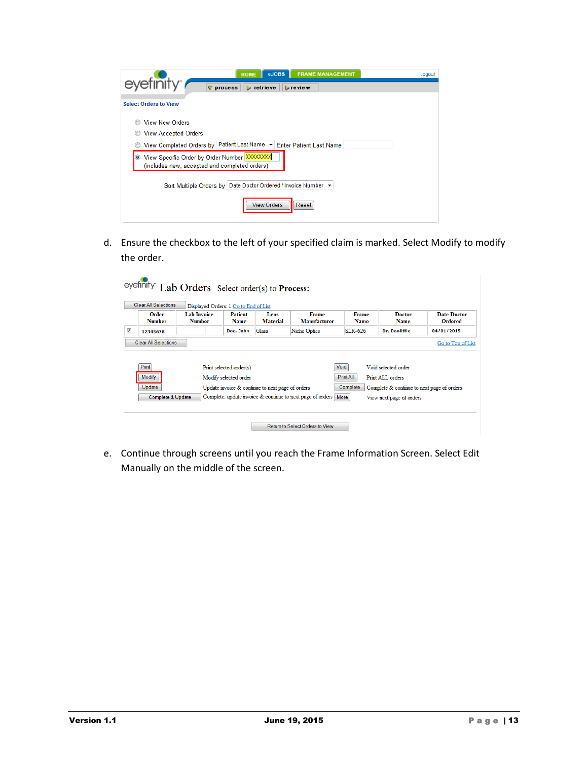| <b>FRAME MANAGEMENT</b><br>eJOBS<br><b>HOME</b>                                                                                                       | Logout |
|-------------------------------------------------------------------------------------------------------------------------------------------------------|--------|
| evefinity <sup>®</sup><br>$\nabla$ process<br>$\triangleright$ retrieve<br>$\triangleright$ review                                                    |        |
| <b>Select Orders to View</b>                                                                                                                          |        |
| <b>View New Orders</b><br><b>View Accepted Orders</b><br>O<br>View Completed Orders by Patient Last Name $\blacktriangledown$ Enter Patient Last Name |        |
| View Specific Order by Order Number XXXXXXXX<br>$\bullet$<br>(includes new, accepted and completed orders)                                            |        |
| Sort Multiple Orders by Date Doctor Ordered / Invoice Number >                                                                                        |        |
| <b>View Orders</b><br>Reset                                                                                                                           |        |

|                         |                        |                                     | Displayed Orders: 1 Go to End of List            |                                                  |                              |                      |                                            |                        |
|-------------------------|------------------------|-------------------------------------|--------------------------------------------------|--------------------------------------------------|------------------------------|----------------------|--------------------------------------------|------------------------|
|                         | Order<br><b>Number</b> | <b>Lab Invoice</b><br><b>Number</b> | <b>Patient</b><br><b>Name</b>                    | Lens<br><b>Material</b>                          | <b>Frame</b><br>Manufacturer | Frame<br><b>Name</b> | <b>Doctor</b><br><b>Name</b>               | Date Doctor<br>Ordered |
| $\overline{\mathsf{v}}$ | 12345678               |                                     | Doe, John                                        | Glass                                            | <b>Niche Optics</b>          | $SLR-626$            | Dr. Doolittle                              | 04/01/2015             |
|                         |                        |                                     |                                                  |                                                  |                              |                      |                                            |                        |
|                         | Print<br>Modify        |                                     | Print selected order(s)<br>Modify selected order |                                                  |                              | Void<br>Print All    | Void selected order<br>Print ALL orders    |                        |
|                         | Update                 |                                     |                                                  | Update invoice & continue to next page of orders |                              | Complete             | Complete & continue to next page of orders |                        |

e. Continue through screens until you reach the Frame Information Screen. Select Edit Manually on the middle of the screen.